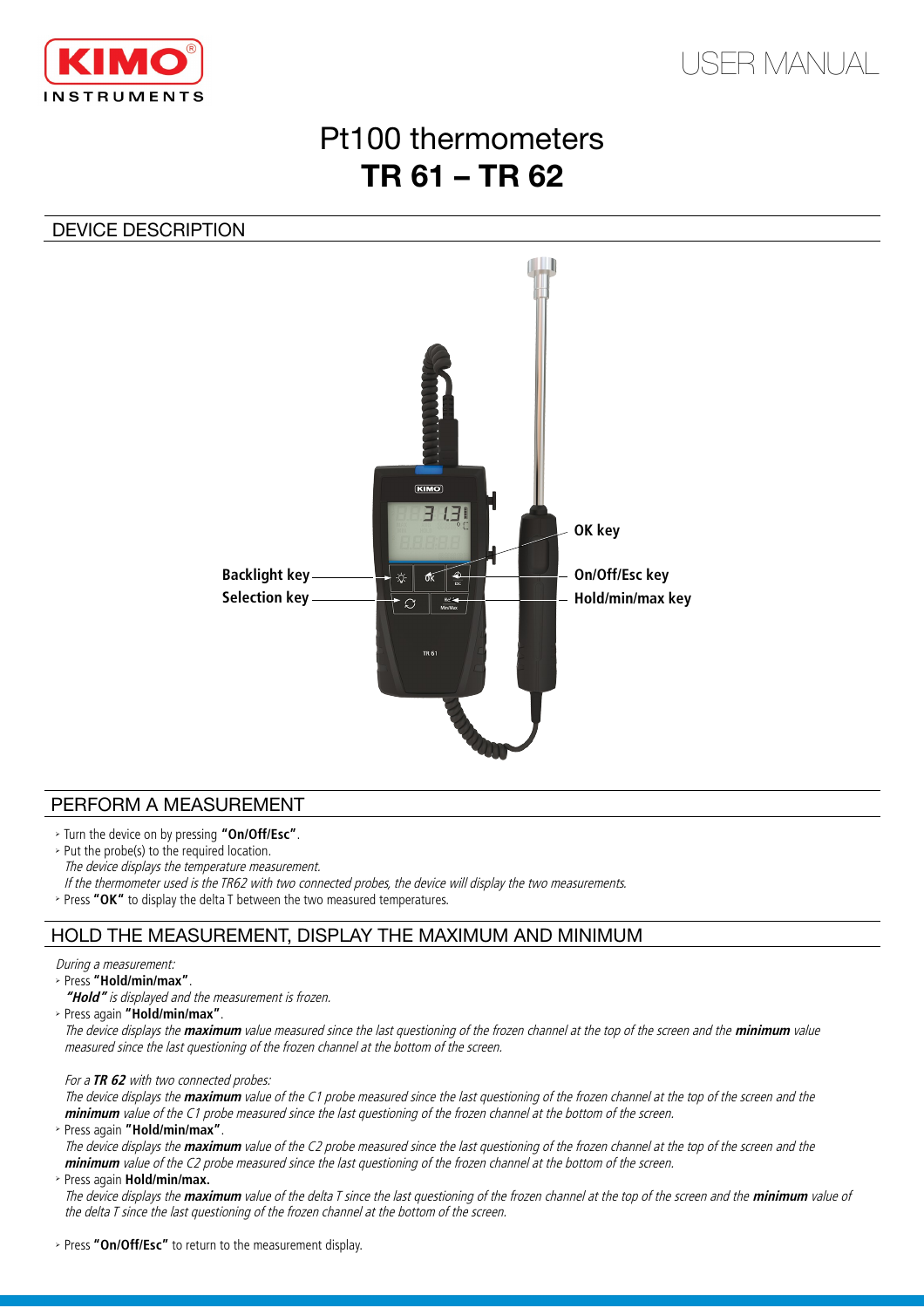



# Pt100 thermometers **TR 61 – TR 62**

## DEVICE DESCRIPTION



### PERFORM A MEASUREMENT

- ➢ Turn the device on by pressing **"On/Off/Esc"**.
- ➢ Put the probe(s) to the required location.
- The device displays the temperature measurement.

If the thermometer used is the TR62 with two connected probes, the device will display the two measurements.

➢ Press **"OK"** to display the delta T between the two measured temperatures.

## HOLD THE MEASUREMENT, DISPLAY THE MAXIMUM AND MINIMUM

#### During a measurement:

➢ Press **"Hold/min/max"**.

**"Hold"** is displayed and the measurement is frozen.

➢ Press again **"Hold/min/max"**.

The device displays the **maximum** value measured since the last questioning of the frozen channel at the top of the screen and the **minimum** value measured since the last questioning of the frozen channel at the bottom of the screen.

#### For a **TR 62** with two connected probes:

The device displays the **maximum** value of the C1 probe measured since the last questioning of the frozen channel at the top of the screen and the **minimum** value of the C1 probe measured since the last questioning of the frozen channel at the bottom of the screen.

➢ Press again **"Hold/min/max"**.

The device displays the **maximum** value of the C2 probe measured since the last questioning of the frozen channel at the top of the screen and the **minimum** value of the C2 probe measured since the last questioning of the frozen channel at the bottom of the screen.

#### ➢ Press again **Hold/min/max.**

The device displays the **maximum** value of the delta T since the last questioning of the frozen channel at the top of the screen and the **minimum** value of the delta T since the last questioning of the frozen channel at the bottom of the screen.

➢ Press **"On/Off/Esc"** to return to the measurement display.